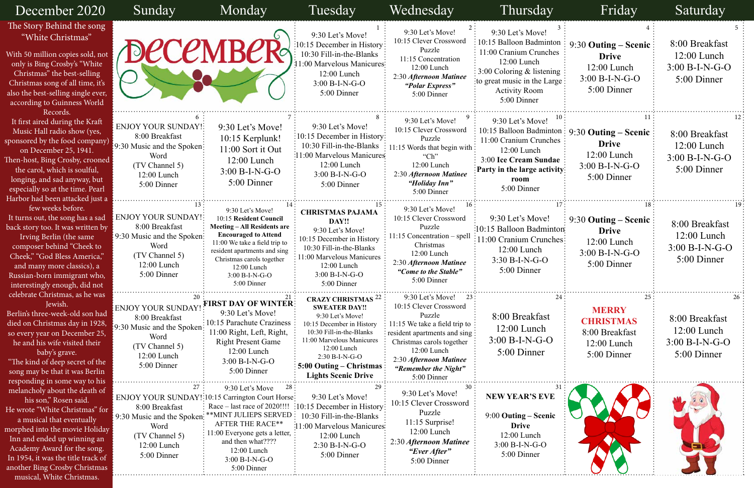### 8:00 Breakfast 12:00 Lunch 3:00 B-I-N-G-O 5:00 Dinner 8:00 Breakfast 12:00 Lunch 3:00 B-I-N-G-O 5:00 Dinner 9:30 **Outing – Scenic Drive** 12:00 Lunch 3:00 B-I-N-G-O 5:00 Dinner 8:00 Breakfast 12:00 Lunch 3:00 B-I-N-G-O 5:00 Dinner 8:00 Breakfast 12:00 Lunch 3:00 B-I-N-G-O 5:00 Dinner **MERRY CHRISTMAS** 8:00 Breakfast 12:00 Lunch 5:00 Dinner 9:30 **Outing – Scenic Drive** 12:00 Lunch 3:00 B-I-N-G-O 5:00 Dinner 9:30 **Outing – Scenic Drive** 12:00 Lunch 3:00 B-I-N-G-O 5:00 Dinner

| December 2020                                                                                                                                                                                                                                                                                                             | Sunday                                                                                                                                                                                         | Monday                                                                                                                                                                                                                                                          | Tuesday                                                                                                                                                                                                                                                              | Wednesday                                                                                                                                                                                                                                    | Thursday                                                                                                                                                                                    | Friday                                                                                                             | <b>Saturday</b>                                                    |
|---------------------------------------------------------------------------------------------------------------------------------------------------------------------------------------------------------------------------------------------------------------------------------------------------------------------------|------------------------------------------------------------------------------------------------------------------------------------------------------------------------------------------------|-----------------------------------------------------------------------------------------------------------------------------------------------------------------------------------------------------------------------------------------------------------------|----------------------------------------------------------------------------------------------------------------------------------------------------------------------------------------------------------------------------------------------------------------------|----------------------------------------------------------------------------------------------------------------------------------------------------------------------------------------------------------------------------------------------|---------------------------------------------------------------------------------------------------------------------------------------------------------------------------------------------|--------------------------------------------------------------------------------------------------------------------|--------------------------------------------------------------------|
| The Story Behind the song<br>"White Christmas"<br>With 50 million copies sold, not<br>only is Bing Crosby's "White<br>Christmas" the best-selling<br>Christmas song of all time, it's<br>also the best-selling single ever,<br>according to Guinness World                                                                |                                                                                                                                                                                                | <b>DECEMBER</b>                                                                                                                                                                                                                                                 | 9:30 Let's Move!<br>$:10:15$ December in History:<br>10:30 Fill-in-the-Blanks<br>11:00 Marvelous Manicures:<br>12:00 Lunch<br>$3:00 B-I-N-G-O$<br>5:00 Dinner                                                                                                        | 9:30 Let's Move!<br>10:15 Clever Crossword<br>Puzzle<br>11:15 Concentration<br>$12:00$ Lunch<br>2:30 Afternoon Matinee<br>"Polar Express"<br>5:00 Dinner                                                                                     | 9:30 Let's Move!<br>10:15 Balloon Badminton<br>11:00 Cranium Crunches<br>$12:00$ Lunch<br>$3:00$ Coloring & listening<br>to great music in the Large<br><b>Activity Room</b><br>5:00 Dinner | 9:30 Outing – Scenic<br><b>Drive</b><br>12:00 Lunch<br>$3:00 B-I-N-G-O$<br>5:00 Dinner                             | 8:00 Breakfast<br>12:00 Lunch<br>$3:00 B-I-N-G-O$<br>5:00 Dinner   |
| Records.<br>It first aired during the Kraft<br>Music Hall radio show (yes,<br>sponsored by the food company)<br>on December 25, 1941.<br>Then-host, Bing Crosby, crooned<br>the carol, which is soulful,<br>longing, and sad anyway, but<br>especially so at the time. Pearl<br>Harbor had been attacked just a           | <b>ENJOY YOUR SUNDAY!:</b><br>8:00 Breakfast<br>[9:30 Music and the Spoken]<br>Word<br>(TV Channel 5)<br>$12:00$ Lunch<br>5:00 Dinner                                                          | 9:30 Let's Move!<br>10:15 Kerplunk!<br>11:00 Sort it Out<br>$12:00$ Lunch<br>$3:00 B-I-N-G-O$<br>5:00 Dinner                                                                                                                                                    | 9:30 Let's Move!<br>$\frac{1}{2}10:15$ December in History:<br>10:30 Fill-in-the-Blanks<br>:11:00 Marvelous Manicures<br>$12:00$ Lunch<br>$3:00 B-I-N-G-O$<br>5:00 Dinner                                                                                            | 9:30 Let's Move!<br>10:15 Clever Crossword<br>Puzzle<br>11:15 Words that begin with:<br>" $Ch$ "<br>12:00 Lunch<br>2:30 Afternoon Matinee<br>"Holiday Inn"<br>5:00 Dinner                                                                    | 9:30 Let's Move!<br>11:00 Cranium Crunches<br>$12:00$ Lunch<br>3:00 Ice Cream Sundae<br>Party in the large activity:<br>room<br>5:00 Dinner                                                 | 10:15 Balloon Badminton : 9:30 Outing - Scenic<br><b>Drive</b><br>$12:00$ Lunch<br>$3:00 B-I-N-G-O$<br>5:00 Dinner | 8:00 Breakfast<br>$12:00$ Lunch<br>$3:00 B-I-N-G-O$<br>5:00 Dinner |
| few weeks before.<br>It turns out, the song has a sad<br>back story too. It was written by<br>Irving Berlin (the same<br>composer behind "Cheek to<br>Cheek," "God Bless America,"<br>and many more classics), a<br>Russian-born immigrant who,<br>interestingly enough, did not                                          | <b>ENJOY YOUR SUNDAY!</b><br>8:00 Breakfast<br>9:30 Music and the Spoken:<br>Word<br>(TV Channel 5)<br>$12:00$ Lunch<br>5:00 Dinner                                                            | 9:30 Let's Move!<br>10:15 Resident Council<br><b>Meeting – All Residents are</b><br><b>Encouraged to Attend</b><br>11:00 We take a field trip to<br>resident apartments and sing<br>Christmas carols together<br>12:00 Lunch<br>$3:00 B-I-N-G-O$<br>5:00 Dinner | <b>CHRISTMAS PAJAMA</b><br>DAY!!<br>9:30 Let's Move!<br>10:15 December in History<br>10:30 Fill-in-the-Blanks<br>11:00 Marvelous Manicures<br>12:00 Lunch<br>$3:00 B-I-N-G-O$<br>5:00 Dinner                                                                         | 9:30 Let's Move!<br>10:15 Clever Crossword<br>Puzzle<br>11:15 Concentration – spel<br>Christmas<br>12:00 Lunch<br>2:30 Afternoon Matinee<br>"Come to the Stable"<br>5:00 Dinner                                                              | 9:30 Let's Move!<br>:10:15 Balloon Badminton<br>11:00 Cranium Crunches:<br>12:00 Lunch<br>$3:30 B-I-N-G-O$<br>5:00 Dinner                                                                   | 9:30 Outing – Scenic<br><b>Drive</b><br>$12:00$ Lunch<br>$3:00 B-I-N-G-O$<br>5:00 Dinner                           | 8:00 Breakfast<br>$12:00$ Lunch<br>$3:00 B-I-N-G-O$<br>5:00 Dinner |
| celebrate Christmas, as he was<br>Jewish.<br>Berlin's three-week-old son had<br>died on Christmas day in 1928,<br>so every year on December 25,<br>he and his wife visited their<br>baby's grave.<br>"The kind of deep secret of the<br>song may be that it was Berlin<br>responding in some way to his                   | ENJOY YOUR SUNDAY!<br>8:00 Breakfast<br>9:30 Music and the Spoken:<br>Word<br>(TV Channel 5)<br>$12:00$ Lunch<br>5:00 Dinner                                                                   | <b>FIRST DAY OF WINTER:</b><br>9:30 Let's Move!<br>: 10:15 Parachute Craziness<br>11:00 Right, Left, Right,<br><b>Right Present Game</b><br>12:00 Lunch<br>$3:00 B-I-N-G-O$<br>5:00 Dinner                                                                      | <b>CRAZY CHRISTMAS</b> <sup>22</sup><br><b>SWEATER DAY!!</b><br>9:30 Let's Move!<br>10:15 December in History<br>10:30 Fill-in-the-Blanks<br>11:00 Marvelous Manicures<br>12:00 Lunch<br>2:30 B-I-N-G-O<br>$5:00$ Outing – Christmas :<br><b>Lights Scenic Drive</b> | 9:30 Let's Move!<br>23<br>10:15 Clever Crossword<br>Puzzle<br>11:15 We take a field trip to<br>: resident apartments and sing :<br>Christmas carols together<br>12:00 Lunch<br>2:30 Afternoon Matinee<br>"Remember the Night"<br>5:00 Dinner | 8:00 Breakfast<br>$12:00$ Lunch<br>$3:00 B-I-N-G-O$<br>5:00 Dinner                                                                                                                          | <b>MERRY</b><br><b>CHRISTMAS</b><br>8:00 Breakfast<br>12:00 Lunch<br>5:00 Dinner                                   | 8:00 Breakfast<br>$12:00$ Lunch<br>$3:00 B-I-N-G-O$<br>5:00 Dinner |
| melancholy about the death of<br>his son," Rosen said.<br>He wrote "White Christmas" for<br>a musical that eventually<br>morphed into the movie Holiday<br>Inn and ended up winning an<br>Academy Award for the song.<br>In 1954, it was the title track of<br>another Bing Crosby Christmas<br>musical, White Christmas. | 27<br><b>ENJOY YOUR SUNDAY!:10:15 Carrington Court Horse:</b><br>8:00 Breakfast<br>9:30 Music and the Spoken: **MINT JULIEPS SERVED:<br>Word<br>(TV Channel 5)<br>$12:00$ Lunch<br>5:00 Dinner | 28<br>9:30 Let's Move<br>Race $-$ last race of 2020!!!!<br><b>AFTER THE RACE**</b><br>11:00 Everyone gets a letter,<br>and then what????<br>12:00 Lunch<br>$3:00 B-I-N-G-O$<br>$5:00$ Dinner                                                                    | 29<br>9:30 Let's Move!<br>$\frac{10:15}{2}$ December in History:<br>10:30 Fill-in-the-Blanks<br>:11:00 Marvelous Manicures:<br>12:00 Lunch<br>$2:30 B-I-N-G-O$<br>5:00 Dinner                                                                                        | 30 <sup>1</sup><br>9:30 Let's Move!<br>10:15 Clever Crossword<br>Puzzle<br>$11:15$ Surprise!<br>12:00 Lunch<br>2:30 Afternoon Matinee<br>"Ever After"<br>5:00 Dinner                                                                         | <b>NEW YEAR'S EVE</b><br>9:00 Outing – Scenic<br><b>Drive</b><br>12:00 Lunch<br>$3:00 B-I-N-G-O$<br>5:00 Dinner                                                                             |                                                                                                                    |                                                                    |